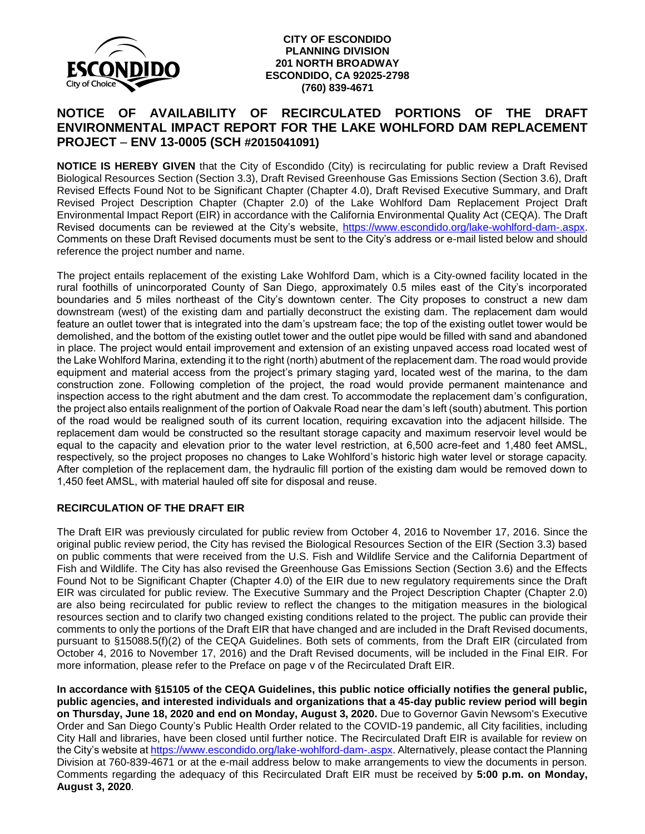

## **CITY OF ESCONDIDO PLANNING DIVISION 201 NORTH BROADWAY ESCONDIDO, CA 92025-2798 (760) 839-4671**

## **NOTICE OF AVAILABILITY OF RECIRCULATED PORTIONS OF THE DRAFT ENVIRONMENTAL IMPACT REPORT FOR THE LAKE WOHLFORD DAM REPLACEMENT PROJECT** – **ENV 13-0005 (SCH #2015041091)**

**NOTICE IS HEREBY GIVEN** that the City of Escondido (City) is recirculating for public review a Draft Revised Biological Resources Section (Section 3.3), Draft Revised Greenhouse Gas Emissions Section (Section 3.6), Draft Revised Effects Found Not to be Significant Chapter (Chapter 4.0), Draft Revised Executive Summary, and Draft Revised Project Description Chapter (Chapter 2.0) of the Lake Wohlford Dam Replacement Project Draft Environmental Impact Report (EIR) in accordance with the California Environmental Quality Act (CEQA). The Draft Revised documents can be reviewed at the City's website, [https://www.escondido.org/lake-wohlford-dam-.aspx.](https://www.escondido.org/lake-wohlford-dam-.aspx) Comments on these Draft Revised documents must be sent to the City's address or e-mail listed below and should reference the project number and name.

The project entails replacement of the existing Lake Wohlford Dam, which is a City-owned facility located in the rural foothills of unincorporated County of San Diego, approximately 0.5 miles east of the City's incorporated boundaries and 5 miles northeast of the City's downtown center. The City proposes to construct a new dam downstream (west) of the existing dam and partially deconstruct the existing dam. The replacement dam would feature an outlet tower that is integrated into the dam's upstream face; the top of the existing outlet tower would be demolished, and the bottom of the existing outlet tower and the outlet pipe would be filled with sand and abandoned in place. The project would entail improvement and extension of an existing unpaved access road located west of the Lake Wohlford Marina, extending it to the right (north) abutment of the replacement dam. The road would provide equipment and material access from the project's primary staging yard, located west of the marina, to the dam construction zone. Following completion of the project, the road would provide permanent maintenance and inspection access to the right abutment and the dam crest. To accommodate the replacement dam's configuration, the project also entails realignment of the portion of Oakvale Road near the dam's left (south) abutment. This portion of the road would be realigned south of its current location, requiring excavation into the adjacent hillside. The replacement dam would be constructed so the resultant storage capacity and maximum reservoir level would be equal to the capacity and elevation prior to the water level restriction, at 6,500 acre-feet and 1,480 feet AMSL, respectively, so the project proposes no changes to Lake Wohlford's historic high water level or storage capacity. After completion of the replacement dam, the hydraulic fill portion of the existing dam would be removed down to 1,450 feet AMSL, with material hauled off site for disposal and reuse.

## **RECIRCULATION OF THE DRAFT EIR**

The Draft EIR was previously circulated for public review from October 4, 2016 to November 17, 2016. Since the original public review period, the City has revised the Biological Resources Section of the EIR (Section 3.3) based on public comments that were received from the U.S. Fish and Wildlife Service and the California Department of Fish and Wildlife. The City has also revised the Greenhouse Gas Emissions Section (Section 3.6) and the Effects Found Not to be Significant Chapter (Chapter 4.0) of the EIR due to new regulatory requirements since the Draft EIR was circulated for public review. The Executive Summary and the Project Description Chapter (Chapter 2.0) are also being recirculated for public review to reflect the changes to the mitigation measures in the biological resources section and to clarify two changed existing conditions related to the project. The public can provide their comments to only the portions of the Draft EIR that have changed and are included in the Draft Revised documents, pursuant to §15088.5(f)(2) of the CEQA Guidelines. Both sets of comments, from the Draft EIR (circulated from October 4, 2016 to November 17, 2016) and the Draft Revised documents, will be included in the Final EIR. For more information, please refer to the Preface on page v of the Recirculated Draft EIR.

**In accordance with §15105 of the CEQA Guidelines, this public notice officially notifies the general public, public agencies, and interested individuals and organizations that a 45-day public review period will begin on Thursday, June 18, 2020 and end on Monday, August 3, 2020.** Due to Governor Gavin Newsom's Executive Order and San Diego County's Public Health Order related to the COVID-19 pandemic, all City facilities, including City Hall and libraries, have been closed until further notice. The Recirculated Draft EIR is available for review on the City's website at [https://www.escondido.org/lake-wohlford-dam-.aspx.](https://www.escondido.org/lake-wohlford-dam-.aspx) Alternatively, please contact the Planning Division at 760-839-4671 or at the e-mail address below to make arrangements to view the documents in person. Comments regarding the adequacy of this Recirculated Draft EIR must be received by **5:00 p.m. on Monday, August 3, 2020**.